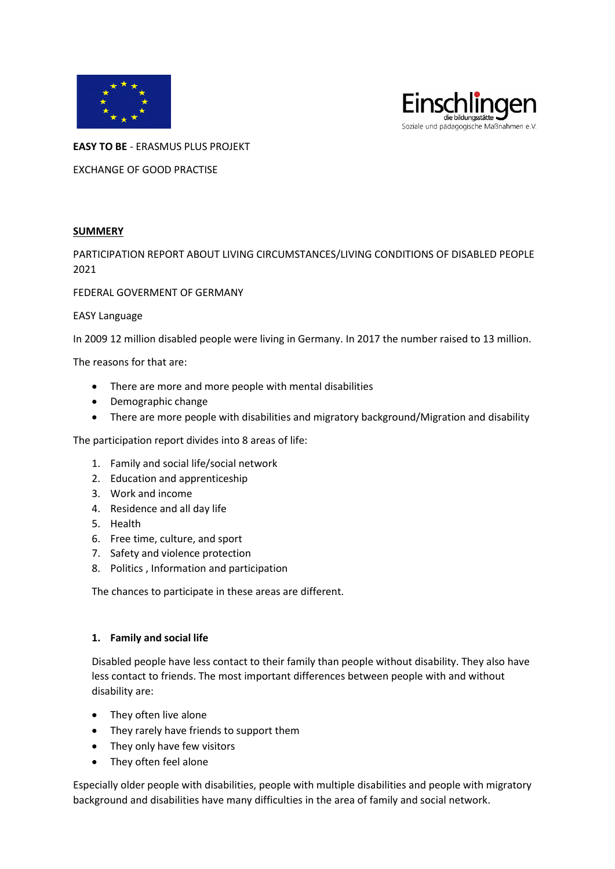



**EASY TO BE** - ERASMUS PLUS PROJEKT

EXCHANGE OF GOOD PRACTISE

## **SUMMERY**

PARTICIPATION REPORT ABOUT LIVING CIRCUMSTANCES/LIVING CONDITIONS OF DISABLED PEOPLE 2021

FEDERAL GOVERMENT OF GERMANY

### EASY Language

In 2009 12 million disabled people were living in Germany. In 2017 the number raised to 13 million.

The reasons for that are:

- There are more and more people with mental disabilities
- Demographic change
- There are more people with disabilities and migratory background/Migration and disability

The participation report divides into 8 areas of life:

- 1. Family and social life/social network
- 2. Education and apprenticeship
- 3. Work and income
- 4. Residence and all day life
- 5. Health
- 6. Free time, culture, and sport
- 7. Safety and violence protection
- 8. Politics , Information and participation

The chances to participate in these areas are different.

### **1. Family and social life**

Disabled people have less contact to their family than people without disability. They also have less contact to friends. The most important differences between people with and without disability are:

- They often live alone
- They rarely have friends to support them
- They only have few visitors
- They often feel alone

Especially older people with disabilities, people with multiple disabilities and people with migratory background and disabilities have many difficulties in the area of family and social network.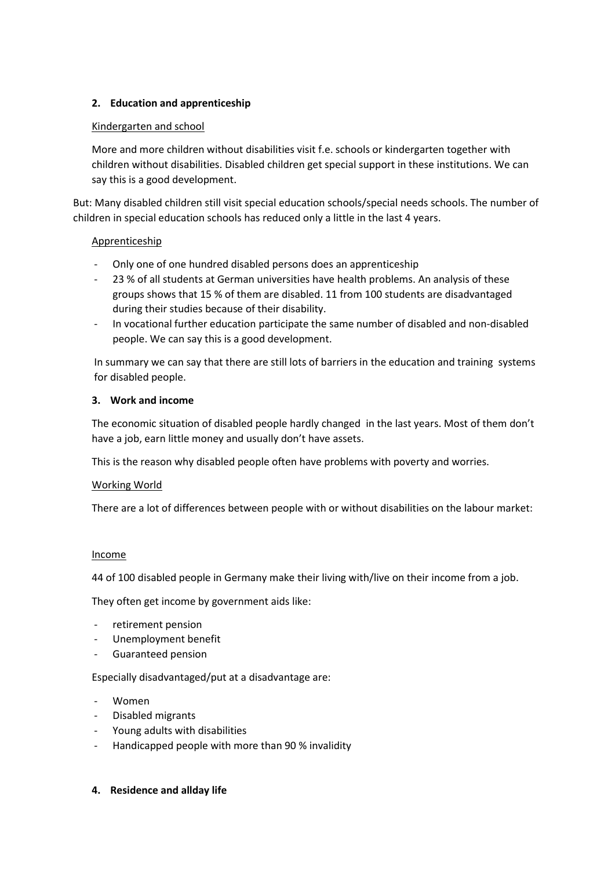# **2. Education and apprenticeship**

## Kindergarten and school

More and more children without disabilities visit f.e. schools or kindergarten together with children without disabilities. Disabled children get special support in these institutions. We can say this is a good development.

But: Many disabled children still visit special education schools/special needs schools. The number of children in special education schools has reduced only a little in the last 4 years.

## Apprenticeship

- Only one of one hundred disabled persons does an apprenticeship
- 23 % of all students at German universities have health problems. An analysis of these groups shows that 15 % of them are disabled. 11 from 100 students are disadvantaged during their studies because of their disability.
- In vocational further education participate the same number of disabled and non-disabled people. We can say this is a good development.

In summary we can say that there are still lots of barriers in the education and training systems for disabled people.

## **3. Work and income**

The economic situation of disabled people hardly changed in the last years. Most of them don't have a job, earn little money and usually don't have assets.

This is the reason why disabled people often have problems with poverty and worries.

### Working World

There are a lot of differences between people with or without disabilities on the labour market:

### **Income**

44 of 100 disabled people in Germany make their living with/live on their income from a job.

They often get income by government aids like:

- retirement pension
- Unemployment benefit
- Guaranteed pension

Especially disadvantaged/put at a disadvantage are:

- Women
- Disabled migrants
- Young adults with disabilities
- Handicapped people with more than 90 % invalidity

### **4. Residence and allday life**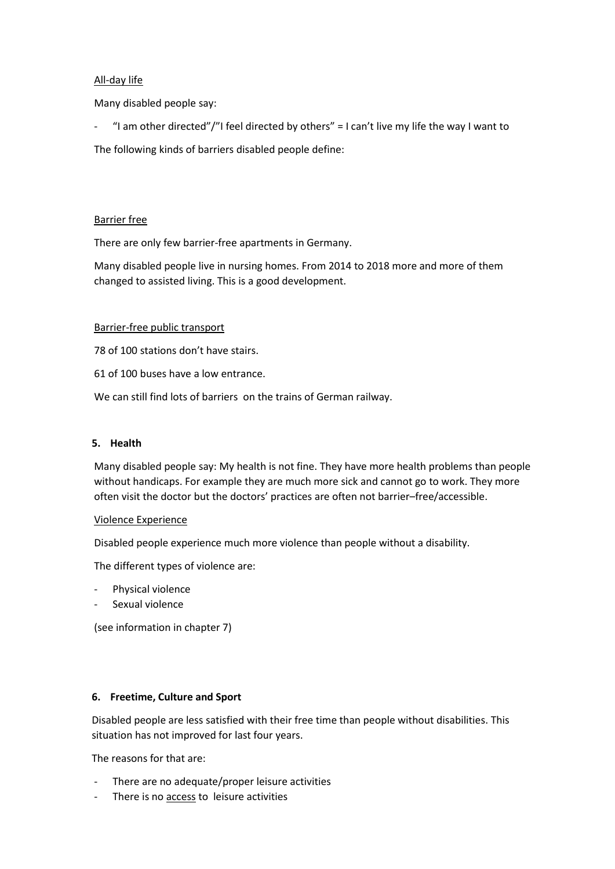## All-day life

Many disabled people say:

"I am other directed"/"I feel directed by others" = I can't live my life the way I want to

The following kinds of barriers disabled people define:

## Barrier free

There are only few barrier-free apartments in Germany.

Many disabled people live in nursing homes. From 2014 to 2018 more and more of them changed to assisted living. This is a good development.

### Barrier-free public transport

78 of 100 stations don't have stairs.

61 of 100 buses have a low entrance.

We can still find lots of barriers on the trains of German railway.

### **5. Health**

Many disabled people say: My health is not fine. They have more health problems than people without handicaps. For example they are much more sick and cannot go to work. They more often visit the doctor but the doctors' practices are often not barrier–free/accessible.

### Violence Experience

Disabled people experience much more violence than people without a disability.

The different types of violence are:

- Physical violence
- Sexual violence

(see information in chapter 7)

### **6. Freetime, Culture and Sport**

Disabled people are less satisfied with their free time than people without disabilities. This situation has not improved for last four years.

The reasons for that are:

- There are no adequate/proper leisure activities
- There is no access to leisure activities